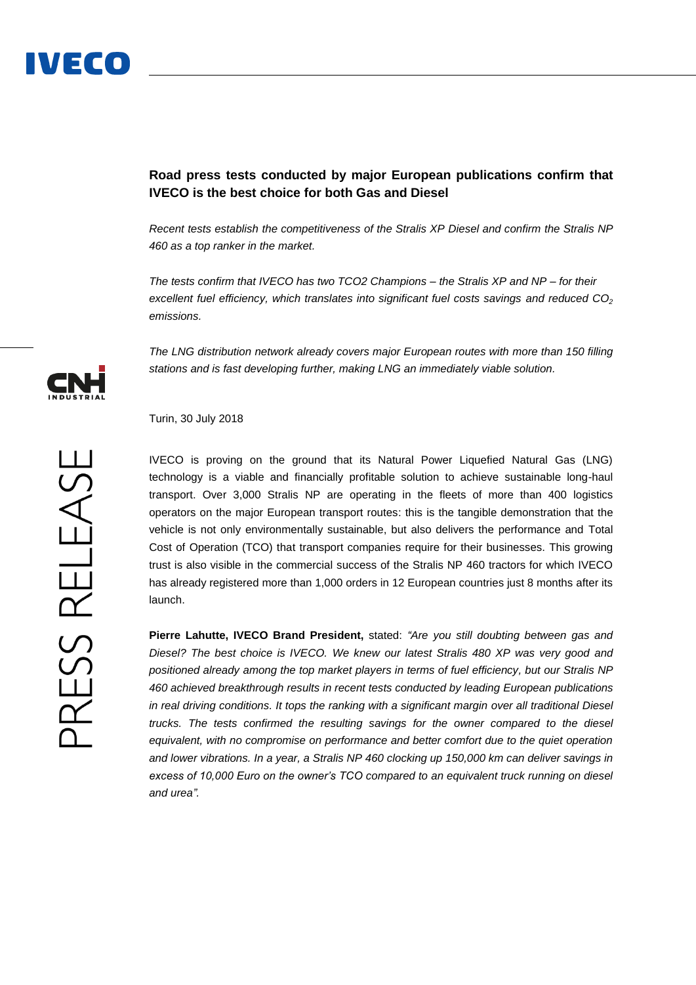## **Road press tests conducted by major European publications confirm that IVECO is the best choice for both Gas and Diesel**

*Recent tests establish the competitiveness of the Stralis XP Diesel and confirm the Stralis NP 460 as a top ranker in the market.*

*The tests confirm that IVECO has two TCO2 Champions – the Stralis XP and NP – for their excellent fuel efficiency, which translates into significant fuel costs savings and reduced CO<sup>2</sup> emissions.*

*The LNG distribution network already covers major European routes with more than 150 filling stations and is fast developing further, making LNG an immediately viable solution.*

Turin, 30 July 2018

IVECO is proving on the ground that its Natural Power Liquefied Natural Gas (LNG) technology is a viable and financially profitable solution to achieve sustainable long-haul transport. Over 3,000 Stralis NP are operating in the fleets of more than 400 logistics operators on the major European transport routes: this is the tangible demonstration that the vehicle is not only environmentally sustainable, but also delivers the performance and Total Cost of Operation (TCO) that transport companies require for their businesses. This growing trust is also visible in the commercial success of the Stralis NP 460 tractors for which IVECO has already registered more than 1,000 orders in 12 European countries just 8 months after its launch.

**Pierre Lahutte, IVECO Brand President,** stated: *"Are you still doubting between gas and Diesel? The best choice is IVECO. We knew our latest Stralis 480 XP was very good and positioned already among the top market players in terms of fuel efficiency, but our Stralis NP 460 achieved breakthrough results in recent tests conducted by leading European publications in real driving conditions. It tops the ranking with a significant margin over all traditional Diesel trucks. The tests confirmed the resulting savings for the owner compared to the diesel equivalent, with no compromise on performance and better comfort due to the quiet operation and lower vibrations. In a year, a Stralis NP 460 clocking up 150,000 km can deliver savings in excess of 10,000 Euro on the owner's TCO compared to an equivalent truck running on diesel and urea".*

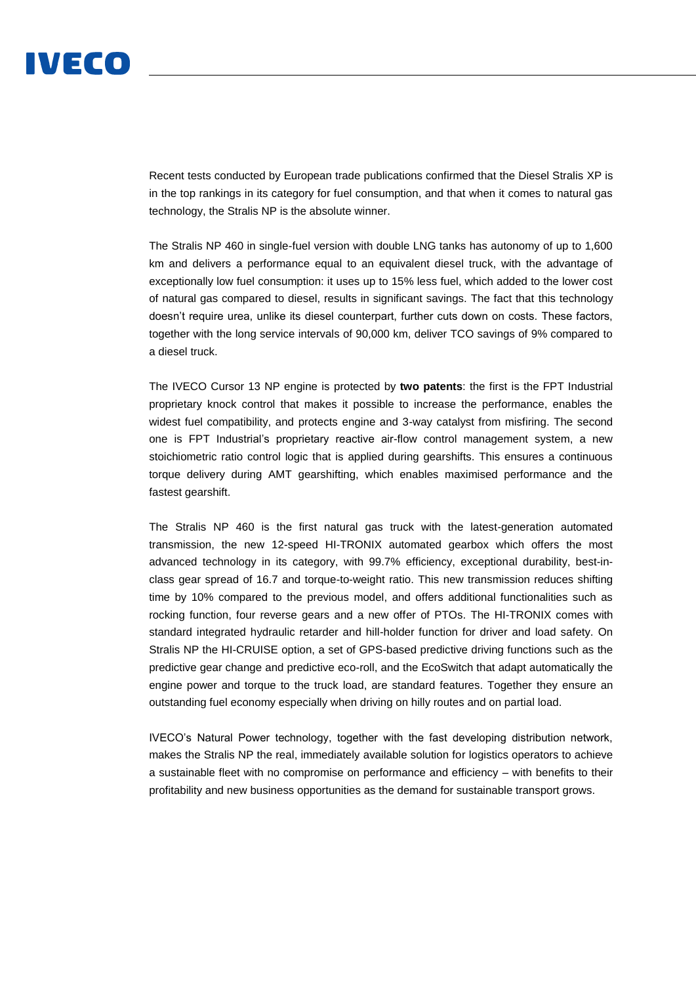

Recent tests conducted by European trade publications confirmed that the Diesel Stralis XP is in the top rankings in its category for fuel consumption, and that when it comes to natural gas technology, the Stralis NP is the absolute winner.

The Stralis NP 460 in single-fuel version with double LNG tanks has autonomy of up to 1,600 km and delivers a performance equal to an equivalent diesel truck, with the advantage of exceptionally low fuel consumption: it uses up to 15% less fuel, which added to the lower cost of natural gas compared to diesel, results in significant savings. The fact that this technology doesn't require urea, unlike its diesel counterpart, further cuts down on costs. These factors, together with the long service intervals of 90,000 km, deliver TCO savings of 9% compared to a diesel truck.

The IVECO Cursor 13 NP engine is protected by **two patents**: the first is the FPT Industrial proprietary knock control that makes it possible to increase the performance, enables the widest fuel compatibility, and protects engine and 3-way catalyst from misfiring. The second one is FPT Industrial's proprietary reactive air-flow control management system, a new stoichiometric ratio control logic that is applied during gearshifts. This ensures a continuous torque delivery during AMT gearshifting, which enables maximised performance and the fastest gearshift.

The Stralis NP 460 is the first natural gas truck with the latest-generation automated transmission, the new 12-speed HI-TRONIX automated gearbox which offers the most advanced technology in its category, with 99.7% efficiency, exceptional durability, best-inclass gear spread of 16.7 and torque-to-weight ratio. This new transmission reduces shifting time by 10% compared to the previous model, and offers additional functionalities such as rocking function, four reverse gears and a new offer of PTOs. The HI-TRONIX comes with standard integrated hydraulic retarder and hill-holder function for driver and load safety. On Stralis NP the HI-CRUISE option, a set of GPS-based predictive driving functions such as the predictive gear change and predictive eco-roll, and the EcoSwitch that adapt automatically the engine power and torque to the truck load, are standard features. Together they ensure an outstanding fuel economy especially when driving on hilly routes and on partial load.

IVECO's Natural Power technology, together with the fast developing distribution network, makes the Stralis NP the real, immediately available solution for logistics operators to achieve a sustainable fleet with no compromise on performance and efficiency – with benefits to their profitability and new business opportunities as the demand for sustainable transport grows.